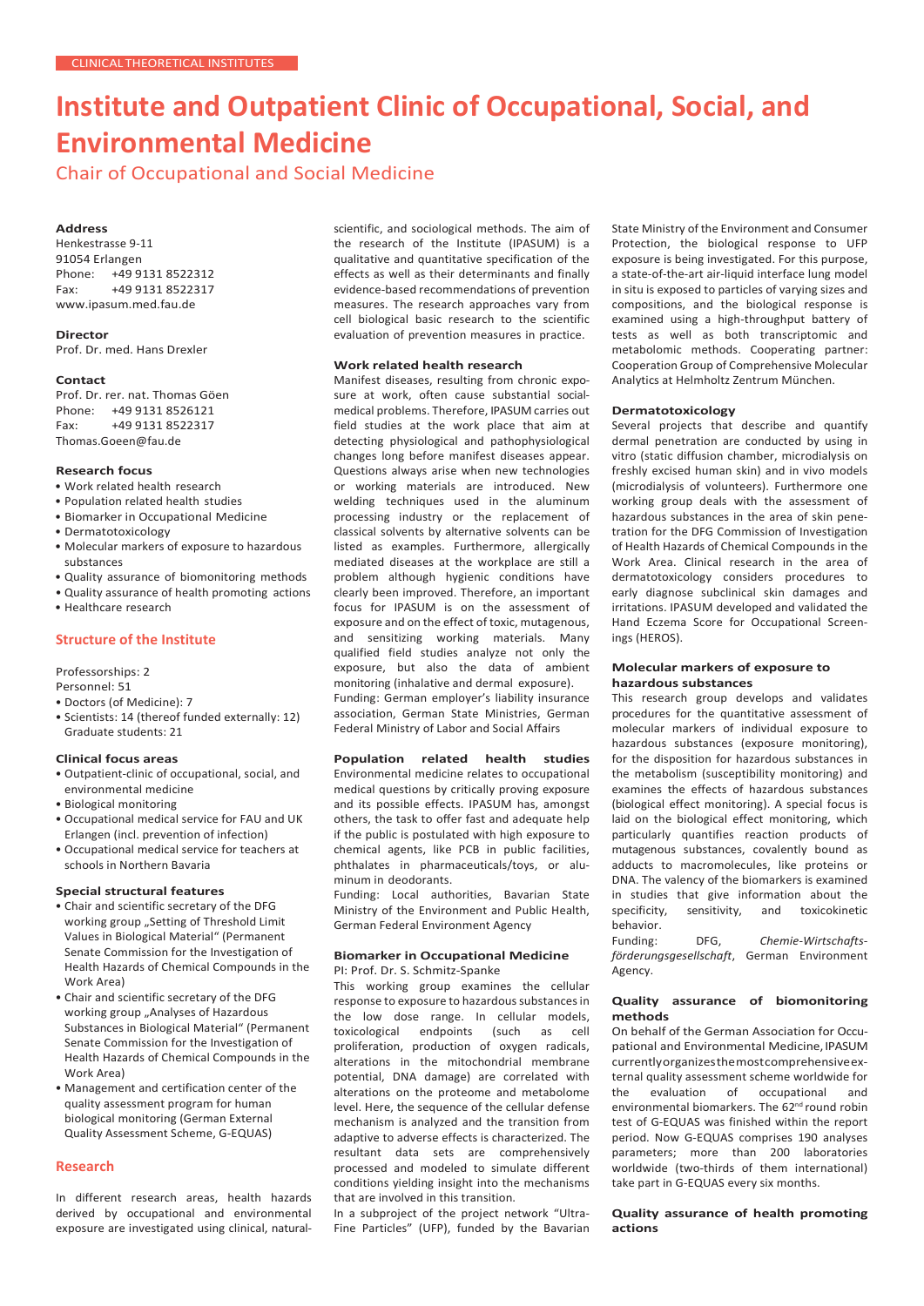# **Institute and Outpatient Clinic of Occupational, Social, and Environmental Medicine**

Chair of Occupational and Social Medicine

### **Address**

Henkestrasse 9-11 91054 Erlangen<br>Phone: +49 9 +49 9131 8522312 Fax: +49 9131 8522317 [www.ipasum.med.fau.de](http://www.ipasum.med.fau.de/)

**Director**

Prof. Dr. med. Hans Drexler

#### **Contact**

Prof. Dr. rer. nat. Thomas Göen Phone: +49 9131 8526121 Fax: +49 9131 8522317 [Thomas.Goeen@fau.de](mailto:Thomas.Goeen@fau.de)

#### **Research focus**

- Work related health research
- Population related health studies
- Biomarker in Occupational Medicine
- Dermatotoxicology
- Molecular markers of exposure to hazardous substances
- Quality assurance of biomonitoring methods
- Quality assurance of health promoting actions
- Healthcare research

# **Structure of the Institute**

Professorships: 2

Personnel: 51

- Doctors (of Medicine): 7
- Scientists: 14 (thereof funded externally: 12) Graduate students: 21

#### **Clinical focus areas**

• Outpatient-clinic of occupational, social, and environmental medicine

### • Biological monitoring

- Occupational medical service for FAU and UK Erlangen (incl. prevention of infection)
- Occupational medical service for teachers at schools in Northern Bavaria

### **Special structural features**

- Chair and scientific secretary of the DFG working group "Setting of Threshold Limit Values in Biological Material" (Permanent Senate Commission for the Investigation of Health Hazards of Chemical Compounds in the Work Area)
- Chair and scientific secretary of the DFG working group "Analyses of Hazardous Substances in Biological Material" (Permanent Senate Commission for the Investigation of Health Hazards of Chemical Compounds in the Work Area)
- Management and certification center of the quality assessment program for human biological monitoring (German External Quality Assessment Scheme, G-EQUAS)

## **Research**

In different research areas, health hazards derived by occupational and environmental exposure are investigated using clinical, naturalscientific, and sociological methods. The aim of the research of the Institute (IPASUM) is a qualitative and quantitative specification of the effects as well as their determinants and finally evidence-based recommendations of prevention measures. The research approaches vary from cell biological basic research to the scientific evaluation of prevention measures in practice.

## **Work related health research**

Manifest diseases, resulting from chronic exposure at work, often cause substantial socialmedical problems. Therefore, IPASUM carries out field studies at the work place that aim at detecting physiological and pathophysiological changes long before manifest diseases appear. Questions always arise when new technologies or working materials are introduced. New welding techniques used in the aluminum processing industry or the replacement of classical solvents by alternative solvents can be listed as examples. Furthermore, allergically mediated diseases at the workplace are still a problem although hygienic conditions have clearly been improved. Therefore, an important focus for IPASUM is on the assessment of exposure and on the effect of toxic, mutagenous, and sensitizing working materials. Many qualified field studies analyze not only the exposure, but also the data of ambient monitoring (inhalative and dermal exposure). Funding: German employer's liability insurance

association, German State Ministries, German Federal Ministry of Labor and Social Affairs

#### **Population related health studies**  Environmental medicine relates to occupational medical questions by critically proving exposure and its possible effects. IPASUM has, amongst others, the task to offer fast and adequate help if the public is postulated with high exposure to chemical agents, like PCB in public facilities, phthalates in pharmaceuticals/toys, or aluminum in deodorants.

Funding: Local authorities, Bavarian State Ministry of the Environment and Public Health, German Federal Environment Agency

#### **Biomarker in Occupational Medicine** PI: Prof. Dr. S. Schmitz-Spanke

This working group examines the cellular response to exposure to hazardous substances in the low dose range. In cellular models, toxicological endpoints (such as cell proliferation, production of oxygen radicals, alterations in the mitochondrial membrane potential, DNA damage) are correlated with alterations on the proteome and metabolome level. Here, the sequence of the cellular defense mechanism is analyzed and the transition from adaptive to adverse effects is characterized. The resultant data sets are comprehensively processed and modeled to simulate different conditions yielding insight into the mechanisms that are involved in this transition.

In a subproject of the project network "Ultra-Fine Particles" (UFP), funded by the Bavarian State Ministry of the Environment and Consumer Protection, the biological response to UFP exposure is being investigated. For this purpose, a state-of-the-art air-liquid interface lung model in situ is exposed to particles of varying sizes and compositions, and the biological response is examined using a high-throughput battery of tests as well as both transcriptomic and metabolomic methods. Cooperating partner: Cooperation Group of Comprehensive Molecular Analytics at Helmholtz Zentrum München.

#### **Dermatotoxicology**

Several projects that describe and quantify dermal penetration are conducted by using in vitro (static diffusion chamber, microdialysis on freshly excised human skin) and in vivo models (microdialysis of volunteers). Furthermore one working group deals with the assessment of hazardous substances in the area of skin penetration for the DFG Commission of Investigation of Health Hazards of Chemical Compounds in the Work Area. Clinical research in the area of dermatotoxicology considers procedures to early diagnose subclinical skin damages and irritations. IPASUM developed and validated the Hand Eczema Score for Occupational Screenings (HEROS).

#### **Molecular markers of exposure to hazardous substances**

This research group develops and validates procedures for the quantitative assessment of molecular markers of individual exposure to hazardous substances (exposure monitoring), for the disposition for hazardous substances in the metabolism (susceptibility monitoring) and examines the effects of hazardous substances (biological effect monitoring). A special focus is laid on the biological effect monitoring, which particularly quantifies reaction products of mutagenous substances, covalently bound as adducts to macromolecules, like proteins or DNA. The valency of the biomarkers is examined in studies that give information about the<br>specificity, sensitivity, and toxicokinetic toxicokinetic

behavior.<br>Funding: DFG, *Chemie-Wirtschaftsförderungsgesellschaft*, German Environment Agency.

#### **Quality assurance of biomonitoring methods**

On behalf of the German Association for Occupational and Environmental Medicine. IPASUM currentlyorganizesthemostcomprehensiveexternal quality assessment scheme worldwide for the evaluation of occupational and environmental biomarkers. The 62<sup>nd</sup> round robin test of G-EQUAS was finished within the report period. Now G-EQUAS comprises 190 analyses parameters; more than 200 laboratories worldwide (two-thirds of them international) take part in G-EQUAS every six months.

#### **Quality assurance of health promoting actions**